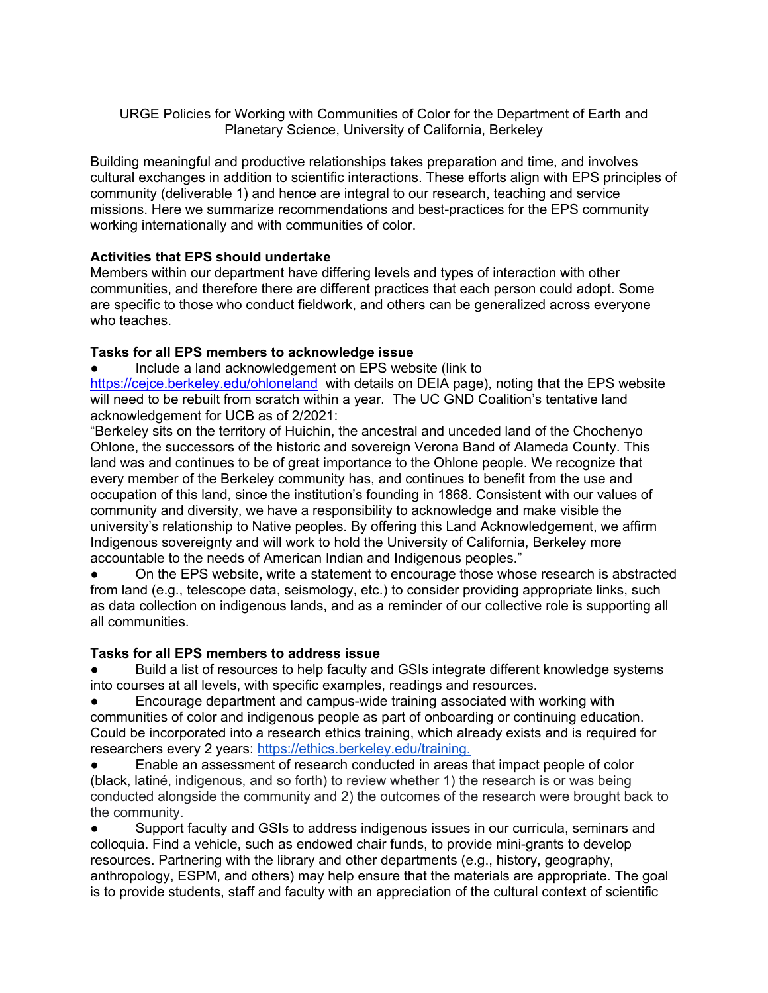URGE Policies for Working with Communities of Color for the Department of Earth and Planetary Science, University of California, Berkeley

Building meaningful and productive relationships takes preparation and time, and involves cultural exchanges in addition to scientific interactions. These efforts align with EPS principles of community (deliverable 1) and hence are integral to our research, teaching and service missions. Here we summarize recommendations and best-practices for the EPS community working internationally and with communities of color.

## **Activities that EPS should undertake**

Members within our department have differing levels and types of interaction with other communities, and therefore there are different practices that each person could adopt. Some are specific to those who conduct fieldwork, and others can be generalized across everyone who teaches.

## **Tasks for all EPS members to acknowledge issue**

Include a land acknowledgement on EPS website (link to https://cejce.berkeley.edu/ohloneland with details on DEIA page), noting that the EPS website will need to be rebuilt from scratch within a year. The UC GND Coalition's tentative land acknowledgement for UCB as of 2/2021:

"Berkeley sits on the territory of Huichin, the ancestral and unceded land of the Chochenyo Ohlone, the successors of the historic and sovereign Verona Band of Alameda County. This land was and continues to be of great importance to the Ohlone people. We recognize that every member of the Berkeley community has, and continues to benefit from the use and occupation of this land, since the institution's founding in 1868. Consistent with our values of community and diversity, we have a responsibility to acknowledge and make visible the university's relationship to Native peoples. By offering this Land Acknowledgement, we affirm Indigenous sovereignty and will work to hold the University of California, Berkeley more accountable to the needs of American Indian and Indigenous peoples."

On the EPS website, write a statement to encourage those whose research is abstracted from land (e.g., telescope data, seismology, etc.) to consider providing appropriate links, such as data collection on indigenous lands, and as a reminder of our collective role is supporting all all communities.

## **Tasks for all EPS members to address issue**

Build a list of resources to help faculty and GSIs integrate different knowledge systems into courses at all levels, with specific examples, readings and resources.

Encourage department and campus-wide training associated with working with communities of color and indigenous people as part of onboarding or continuing education. Could be incorporated into a research ethics training, which already exists and is required for researchers every 2 years: https://ethics.berkeley.edu/training.

Enable an assessment of research conducted in areas that impact people of color (black, latiné, indigenous, and so forth) to review whether 1) the research is or was being conducted alongside the community and 2) the outcomes of the research were brought back to the community.

● Support faculty and GSIs to address indigenous issues in our curricula, seminars and colloquia. Find a vehicle, such as endowed chair funds, to provide mini-grants to develop resources. Partnering with the library and other departments (e.g., history, geography, anthropology, ESPM, and others) may help ensure that the materials are appropriate. The goal is to provide students, staff and faculty with an appreciation of the cultural context of scientific